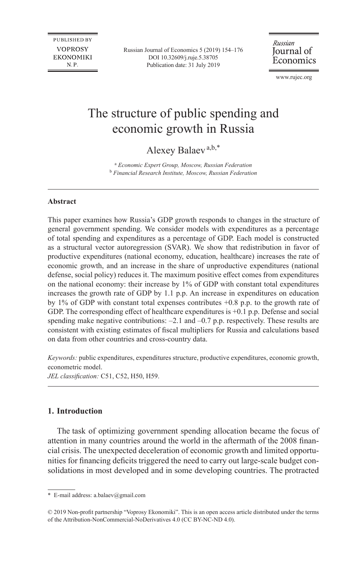**PUBLISHED BY VOPROSY EKONOMIKI** N.P.

Russian Journal of Economics 5 (2019) 154–176 DO[I 10.32609/j.ruje.5.38705](https://doi.org/10.32609/j.ruje.5.38705) Publication date: 31 July 2019

Russian Journal of Economics

www.rujec.org

# The structure of public spending and economic growth in Russia

Alexey Balaev<sup>a,b,\*</sup>

a  *Economic Expert Group, Moscow, Russian Federation* b  *Financial Research Institute, Moscow, Russian Federation*

## **Abstract**

This paper examines how Russia's GDP growth responds to changes in the structure of general government spending. We consider models with expenditures as a percentage of total spending and expenditures as a percentage of GDP. Each model is constructed as a structural vector autoregression (SVAR). We show that redistribution in favor of productive expenditures (national economy, education, healthcare) increases the rate of economic growth, and an increase in the share of unproductive expenditures (national defense, social policy) reduces it. The maximum positive effect comes from expenditures on the national economy: their increase by 1% of GDP with constant total expenditures increases the growth rate of GDP by 1.1 p.p. An increase in expenditures on education by 1% of GDP with constant total expenses contributes +0.8 p.p. to the growth rate of GDP. The corresponding effect of healthcare expenditures is  $+0.1$  p.p. Defense and social spending make negative contributions:  $-2.1$  and  $-0.7$  p.p. respectively. These results are consistent with existing estimates of fiscal multipliers for Russia and calculations based on data from other countries and cross-country data.

*Keywords:* public expenditures, expenditures structure, productive expenditures, economic growth, econometric model.

*JEL classification:* C51, C52, H50, H59.

## **1. Introduction**

The task of optimizing government spending allocation became the focus of attention in many countries around the world in the aftermath of the 2008 financial crisis. The unexpected deceleration of economic growth and limited opportunities for financing deficits triggered the need to carry out large-scale budget consolidations in most developed and in some developing countries. The protracted

<sup>\*</sup> E-mail address: [a.balaev@gmail.com](mailto:a.balaev@gmail.com)

<sup>© 2019</sup> Non-profit partnership "Voprosy Ekonomiki". This is an open access article distributed under the terms of the [Attribution-NonCommercial-NoDerivatives 4.0 \(CC BY-NC-ND 4.0\)](http://creativecommons.org/licenses/by-nc-nd/4.0/).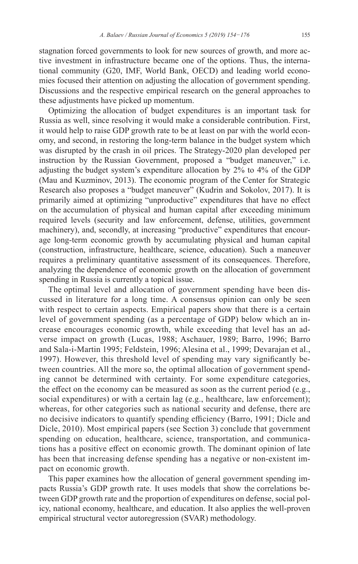stagnation forced governments to look for new sources of growth, and more active investment in infrastructure became one of the options. Thus, the international community (G20, IMF, World Bank, OECD) and leading world economies focused their attention on adjusting the allocation of government spending. Discussions and the respective empirical research on the general approaches to these adjustments have picked up momentum.

Optimizing the allocation of budget expenditures is an important task for Russia as well, since resolving it would make a considerable contribution. First, it would help to raise GDP growth rate to be at least on par with the world economy, and second, in restoring the long-term balance in the budget system which was disrupted by the crash in oil prices. The Strategy-2020 plan developed per instruction by the Russian Government, proposed a "budget maneuver," i.e. adjusting the budget system's expenditure allocation by 2% to 4% of the GDP (Mau and Kuzminov, 2013). The economic program of the Center for Strategic Research also proposes a "budget maneuver" (Kudrin and Sokolov, 2017). It is primarily aimed at optimizing "unproductive" expenditures that have no effect on the accumulation of physical and human capital after exceeding minimum required levels (security and law enforcement, defense, utilities, government machinery), and, secondly, at increasing "productive" expenditures that encourage long-term economic growth by accumulating physical and human capital (construction, infrastructure, healthcare, science, education). Such a maneuver requires a preliminary quantitative assessment of its consequences. Therefore, analyzing the dependence of economic growth on the allocation of government spending in Russia is currently a topical issue.

The optimal level and allocation of government spending have been discussed in literature for a long time. A consensus opinion can only be seen with respect to certain aspects. Empirical papers show that there is a certain level of government spending (as a percentage of GDP) below which an increase encourages economic growth, while exceeding that level has an adverse impact on growth (Lucas, 1988; Aschauer, 1989; Barro, 1996; Barro and Sala-i-Martin 1995; Feldstein, 1996; Alesina et al., 1999; Devarajan et al., 1997). However, this threshold level of spending may vary significantly between countries. All the more so, the optimal allocation of government spending cannot be determined with certainty. For some expenditure categories, the effect on the economy can be measured as soon as the current period (e.g., social expenditures) or with a certain lag (e.g., healthcare, law enforcement); whereas, for other categories such as national security and defense, there are no decisive indicators to quantify spending efficiency (Barro, 1991; Dicle and Dicle, 2010). Most empirical papers (see Section 3) conclude that government spending on education, healthcare, science, transportation, and communications has a positive effect on economic growth. The dominant opinion of late has been that increasing defense spending has a negative or non-existent impact on economic growth.

This paper examines how the allocation of general government spending impacts Russia's GDP growth rate. It uses models that show the correlations between GDP growth rate and the proportion of expenditures on defense, social policy, national economy, healthcare, and education. It also applies the well-proven empirical structural vector autoregression (SVAR) methodology.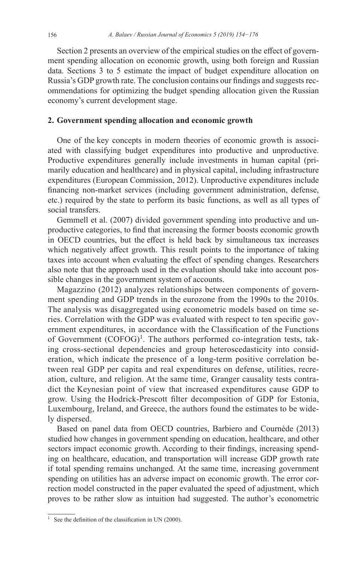Section 2 presents an overview of the empirical studies on the effect of government spending allocation on economic growth, using both foreign and Russian data. Sections 3 to 5 estimate the impact of budget expenditure allocation on Russia's GDP growth rate. The conclusion contains our findings and suggests recommendations for optimizing the budget spending allocation given the Russian economy's current development stage.

## **2. Government spending allocation and economic growth**

One of the key concepts in modern theories of economic growth is associated with classifying budget expenditures into productive and unproductive. Productive expenditures generally include investments in human capital (primarily education and healthcare) and in physical capital, including infrastructure expenditures (European Commission, 2012). Unproductive expenditures include financing non-market services (including government administration, defense, etc.) required by the state to perform its basic functions, as well as all types of social transfers.

Gemmell et al. (2007) divided government spending into productive and unproductive categories, to find that increasing the former boosts economic growth in OECD countries, but the effect is held back by simultaneous tax increases which negatively affect growth. This result points to the importance of taking taxes into account when evaluating the effect of spending changes. Researchers also note that the approach used in the evaluation should take into account possible changes in the government system of accounts.

Magazzino (2012) analyzes relationships between components of government spending and GDP trends in the eurozone from the 1990s to the 2010s. The analysis was disaggregated using econometric models based on time series. Correlation with the GDP was evaluated with respect to ten specific government expenditures, in accordance with the Classification of the Functions of Government  $(COFOG)^{1}$ . The authors performed co-integration tests, taking cross-sectional dependencies and group heteroscedasticity into consideration, which indicate the presence of a long-term positive correlation between real GDP per capita and real expenditures on defense, utilities, recreation, culture, and religion. At the same time, Granger causality tests contradict the Keynesian point of view that increased expenditures cause GDP to grow. Using the Hodrick-Prescott filter decomposition of GDP for Estonia, Luxembourg, Ireland, and Greece, the authors found the estimates to be widely dispersed.

Based on panel data from OECD countries, Barbiero and Cournède (2013) studied how changes in government spending on education, healthcare, and other sectors impact economic growth. According to their findings, increasing spending on healthcare, education, and transportation will increase GDP growth rate if total spending remains unchanged. At the same time, increasing government spending on utilities has an adverse impact on economic growth. The error correction model constructed in the paper evaluated the speed of adjustment, which proves to be rather slow as intuition had suggested. The author's econometric

<sup>&</sup>lt;sup>1</sup> See the definition of the classification in UN (2000).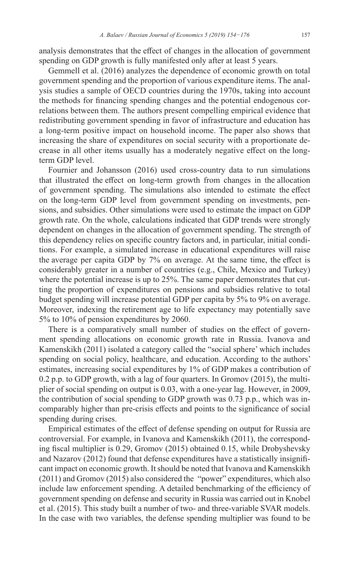analysis demonstrates that the effect of changes in the allocation of government spending on GDP growth is fully manifested only after at least 5 years.

Gemmell et al. (2016) analyzes the dependence of economic growth on total government spending and the proportion of various expenditure items. The analysis studies a sample of OECD countries during the 1970s, taking into account the methods for financing spending changes and the potential endogenous correlations between them. The authors present compelling empirical evidence that redistributing government spending in favor of infrastructure and education has a long-term positive impact on household income. The paper also shows that increasing the share of expenditures on social security with a proportionate decrease in all other items usually has a moderately negative effect on the longterm GDP level.

Fournier and Johansson (2016) used cross-country data to run simulations that illustrated the effect on long-term growth from changes in the allocation of government spending. The simulations also intended to estimate the effect on the long-term GDP level from government spending on investments, pensions, and subsidies. Other simulations were used to estimate the impact on GDP growth rate. On the whole, calculations indicated that GDP trends were strongly dependent on changes in the allocation of government spending. The strength of this dependency relies on specific country factors and, in particular, initial conditions. For example, a simulated increase in educational expenditures will raise the average per capita GDP by 7% on average. At the same time, the effect is considerably greater in a number of countries (e.g., Chile, Mexico and Turkey) where the potential increase is up to 25%. The same paper demonstrates that cutting the proportion of expenditures on pensions and subsidies relative to total budget spending will increase potential GDP per capita by 5% to 9% on average. Moreover, indexing the retirement age to life expectancy may potentially save 5% to 10% of pension expenditures by 2060.

There is a comparatively small number of studies on the effect of government spending allocations on economic growth rate in Russia. Ivanova and Kamenskikh (2011) isolated a category called the "social sphere' which includes spending on social policy, healthcare, and education. According to the authors' estimates, increasing social expenditures by 1% of GDP makes a contribution of 0.2 p.p. to GDP growth, with a lag of four quarters. In Gromov (2015), the multiplier of social spending on output is 0.03, with a one-year lag. However, in 2009, the contribution of social spending to GDP growth was 0.73 p.p., which was incomparably higher than pre-crisis effects and points to the significance of social spending during crises.

Empirical estimates of the effect of defense spending on output for Russia are controversial. For example, in Ivanova and Kamenskikh (2011), the corresponding fiscal multiplier is 0.29, Gromov (2015) obtained 0.15, while Drobyshevsky and Nazarov (2012) found that defense expenditures have a statistically insignificant impact on economic growth. It should be noted that Ivanova and Kamenskikh (2011) and Gromov (2015) also considered the "power" expenditures, which also include law enforcement spending. A detailed benchmarking of the efficiency of government spending on defense and security in Russia was carried out in Knobel et al. (2015). This study built a number of two- and three-variable SVAR models. In the case with two variables, the defense spending multiplier was found to be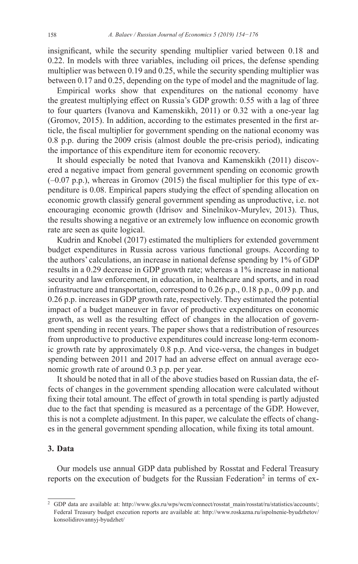insignificant, while the security spending multiplier varied between 0.18 and 0.22. In models with three variables, including oil prices, the defense spending multiplier was between 0.19 and 0.25, while the security spending multiplier was between 0.17 and 0.25, depending on the type of model and the magnitude of lag.

Empirical works show that expenditures on the national economy have the greatest multiplying effect on Russia's GDP growth: 0.55 with a lag of three to four quarters (Ivanova and Kamenskikh, 2011) or 0.32 with a one-year lag (Gromov, 2015). In addition, according to the estimates presented in the first article, the fiscal multiplier for government spending on the national economy was 0.8 p.p. during the 2009 crisis (almost double the pre-crisis period), indicating the importance of this expenditure item for economic recovery.

It should especially be noted that Ivanova and Kamenskikh (2011) discovered a negative impact from general government spending on economic growth (–0.07 p.p.), whereas in Gromov (2015) the fiscal multiplier for this type of expenditure is 0.08. Empirical papers studying the effect of spending allocation on economic growth classify general government spending as unproductive, i.e. not encouraging economic growth (Idrisov and Sinelnikov-Murylev, 2013). Thus, the results showing a negative or an extremely low influence on economic growth rate are seen as quite logical.

Kudrin and Knobel (2017) estimated the multipliers for extended government budget expenditures in Russia across various functional groups. According to the authors' calculations, an increase in national defense spending by 1% of GDP results in a 0.29 decrease in GDP growth rate; whereas a 1% increase in national security and law enforcement, in education, in healthcare and sports, and in road infrastructure and transportation, correspond to 0.26 p.p., 0.18 p.p., 0.09 p.p. and 0.26 p.p. increases in GDP growth rate, respectively. They estimated the potential impact of a budget maneuver in favor of productive expenditures on economic growth, as well as the resulting effect of changes in the allocation of government spending in recent years. The paper shows that a redistribution of resources from unproductive to productive expenditures could increase long-term economic growth rate by approximately 0.8 p.p. And vice-versa, the changes in budget spending between 2011 and 2017 had an adverse effect on annual average economic growth rate of around 0.3 p.p. per year.

It should be noted that in all of the above studies based on Russian data, the effects of changes in the government spending allocation were calculated without fixing their total amount. The effect of growth in total spending is partly adjusted due to the fact that spending is measured as a percentage of the GDP. However, this is not a complete adjustment. In this paper, we calculate the effects of changes in the general government spending allocation, while fixing its total amount.

## **3. Data**

Our models use annual GDP data published by Rosstat and Federal Treasury reports on the execution of budgets for the Russian Federation<sup>2</sup> in terms of ex-

<sup>&</sup>lt;sup>2</sup> GDP data are available at: [http://www.gks.ru/wps/wcm/connect/rosstat\\_main/rosstat/ru/statistics/accounts/](http://www.gks.ru/wps/wcm/connect/rosstat_main/rosstat/ru/statistics/accounts/); Federal Treasury budget execution reports are available at: [http://www.roskazna.ru/ispolnenie-byudzhetov/](http://www.roskazna.ru/ispolnenie-byudzhetov/konsolidirovannyj-byudzhet/) [konsolidirovannyj-byudzhet/](http://www.roskazna.ru/ispolnenie-byudzhetov/konsolidirovannyj-byudzhet/)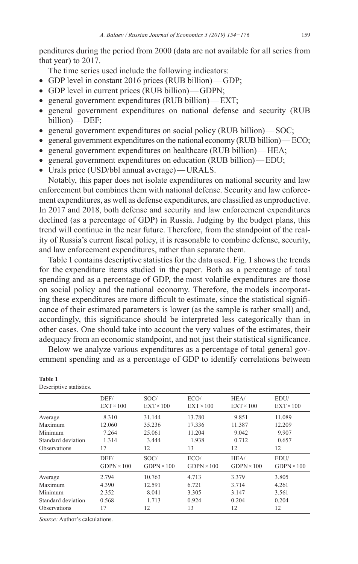penditures during the period from 2000 (data are not available for all series from that year) to 2017.

The time series used include the following indicators:

- GDP level in constant 2016 prices (RUB billion)—GDP;
- GDP level in current prices (RUB billion)—GDPN;
- general government expenditures (RUB billion)—EXT;
- general government expenditures on national defense and security (RUB billion)—DEF;
- general government expenditures on social policy (RUB billion)—SOC;
- general government expenditures on the national economy (RUB billion)  $ECO$ ;
- general government expenditures on healthcare (RUB billion)—HEA;
- general government expenditures on education (RUB billion)—EDU;
- • Urals price (USD/bbl annual average)—URALS.

Notably, this paper does not isolate expenditures on national security and law enforcement but combines them with national defense. Security and law enforcement expenditures, as well as defense expenditures, are classified as unproductive. In 2017 and 2018, both defense and security and law enforcement expenditures declined (as a percentage of GDP) in Russia. Judging by the budget plans, this trend will continue in the near future. Therefore, from the standpoint of the reality of Russia's current fiscal policy, it is reasonable to combine defense, security, and law enforcement expenditures, rather than separate them.

Table 1 contains descriptive statistics for the data used. Fig. 1 shows the trends for the expenditure items studied in the paper. Both as a percentage of total spending and as a percentage of GDP, the most volatile expenditures are those on social policy and the national economy. Therefore, the models incorporating these expenditures are more difficult to estimate, since the statistical significance of their estimated parameters is lower (as the sample is rather small) and, accordingly, this significance should be interpreted less categorically than in other cases. One should take into account the very values of the estimates, their adequacy from an economic standpoint, and not just their statistical significance.

Below we analyze various expenditures as a percentage of total general government spending and as a percentage of GDP to identify correlations between

|                     | DEF/<br>$EXT \times 100$ | SOC/<br>$EXT \times 100$ | ECO/<br>$EXT \times 100$ | HEA/<br>$EXT \times 100$ | EDU/<br>$EXT \times 100$ |
|---------------------|--------------------------|--------------------------|--------------------------|--------------------------|--------------------------|
| Average             | 8.310                    | 31.144                   | 13.780                   | 9.851                    | 11.089                   |
| Maximum             | 12.060                   | 35.236                   | 17.336                   | 11.387                   | 12.209                   |
| Minimum             | 7.264                    | 25.061                   | 11.204                   | 9.042                    | 9.907                    |
| Standard deviation  | 1.314                    | 3.444                    | 1.938                    | 0.712                    | 0.657                    |
| <b>Observations</b> | 17                       | 12                       | 13                       | 12                       | 12                       |
|                     | DEF/                     | SOC/                     | ECO/                     | HEA/                     | EDU/                     |
|                     | $GDPN \times 100$        | $GDPN \times 100$        | $GDPN \times 100$        | $GDPN \times 100$        | $GDPN \times 100$        |
| Average             | 2.794                    | 10.763                   | 4.713                    | 3.379                    | 3.805                    |
| Maximum             | 4.390                    | 12.591                   | 6.721                    | 3.714                    | 4.261                    |
| Minimum             | 2.352                    | 8.041                    | 3.305                    | 3.147                    | 3.561                    |
| Standard deviation  | 0.568                    | 1.713                    | 0.924                    | 0.204                    | 0.204                    |
| <b>Observations</b> | 17                       | 12                       | 13                       | 12                       | 12                       |
|                     |                          |                          |                          |                          |                          |

**Table 1** Descriptive statistics.

*Source:* Author's calculations.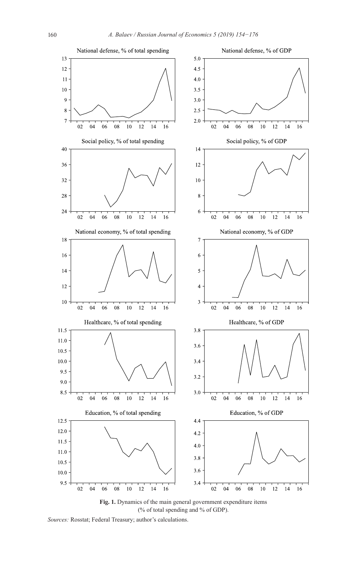

(% of total spending and % of GDP).

*Sources:* Rosstat; Federal Treasury; author's calculations.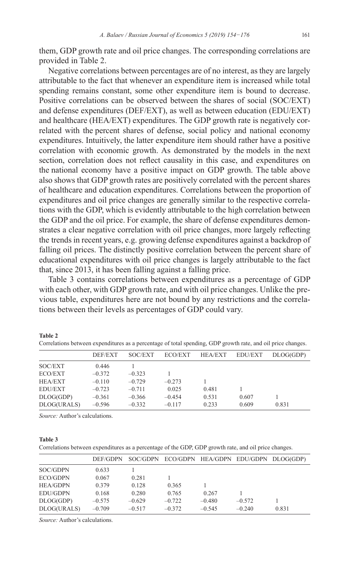them, GDP growth rate and oil price changes. The corresponding correlations are provided in Table 2.

Negative correlations between percentages are of no interest, as they are largely attributable to the fact that whenever an expenditure item is increased while total spending remains constant, some other expenditure item is bound to decrease. Positive correlations can be observed between the shares of social (SOC/EXT) and defense expenditures (DEF/EXT), as well as between education (EDU/EXT) and healthcare (HEA/EXT) expenditures. The GDP growth rate is negatively correlated with the percent shares of defense, social policy and national economy expenditures. Intuitively, the latter expenditure item should rather have a positive correlation with economic growth. As demonstrated by the models in the next section, correlation does not reflect causality in this case, and expenditures on the national economy have a positive impact on GDP growth. The table above also shows that GDP growth rates are positively correlated with the percent shares of healthcare and education expenditures. Correlations between the proportion of expenditures and oil price changes are generally similar to the respective correlations with the GDP, which is evidently attributable to the high correlation between the GDP and the oil price. For example, the share of defense expenditures demonstrates a clear negative correlation with oil price changes, more largely reflecting the trends in recent years, e.g. growing defense expenditures against a backdrop of falling oil prices. The distinctly positive correlation between the percent share of educational expenditures with oil price changes is largely attributable to the fact that, since 2013, it has been falling against a falling price.

Table 3 contains correlations between expenditures as a percentage of GDP with each other, with GDP growth rate, and with oil price changes. Unlike the previous table, expenditures here are not bound by any restrictions and the correlations between their levels as percentages of GDP could vary.

|                | DEF/EXT  | SOC/EXT  | ECO/EXT  | <b>HEA/EXT</b> | <b>EDU/EXT</b> | DLOG(GDP) |  |
|----------------|----------|----------|----------|----------------|----------------|-----------|--|
| SOC/EXT        | 0.446    |          |          |                |                |           |  |
| ECO/EXT        | $-0.372$ | $-0.323$ |          |                |                |           |  |
| HEA/EXT        | $-0.110$ | $-0.729$ | $-0.273$ |                |                |           |  |
| <b>EDU/EXT</b> | $-0.723$ | $-0.711$ | 0.025    | 0.481          |                |           |  |
| DLOG(GDP)      | $-0.361$ | $-0.366$ | $-0.454$ | 0.531          | 0.607          |           |  |
| DLOG(URALS)    | $-0.596$ | $-0.332$ | $-0.117$ | 0.233          | 0.609          | 0.831     |  |
|                |          |          |          |                |                |           |  |

*Source:* Author's calculations.

#### **Table 3**

**Table 2**

Correlations between expenditures as a percentage of the GDP, GDP growth rate, and oil price changes.

|                 | DEF/GDPN |          |          |          |          | SOC/GDPN ECO/GDPN HEA/GDPN EDU/GDPN DLOG(GDP) |
|-----------------|----------|----------|----------|----------|----------|-----------------------------------------------|
| SOC/GDPN        | 0.633    |          |          |          |          |                                               |
| ECO/GDPN        | 0.067    | 0.281    |          |          |          |                                               |
| <b>HEA/GDPN</b> | 0.379    | 0.128    | 0.365    |          |          |                                               |
| <b>EDU/GDPN</b> | 0.168    | 0.280    | 0.765    | 0.267    |          |                                               |
| DLOG(GDP)       | $-0.575$ | $-0.629$ | $-0.722$ | $-0.480$ | $-0.572$ |                                               |
| DLOG(URALS)     | $-0.709$ | $-0.517$ | $-0.372$ | $-0.545$ | $-0.240$ | 0.831                                         |

*Source:* Author's calculations.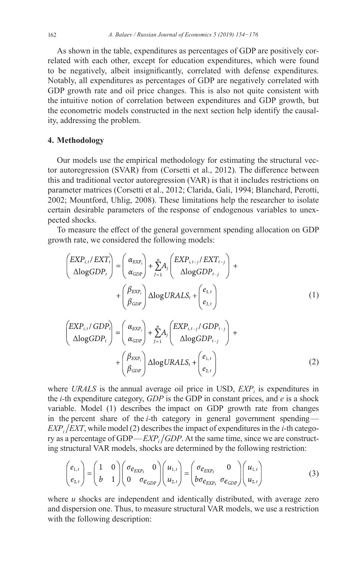As shown in the table, expenditures as percentages of GDP are positively correlated with each other, except for education expenditures, which were found to be negatively, albeit insignificantly, correlated with defense expenditures. Notably, all expenditures as percentages of GDP are negatively correlated with GDP growth rate and oil price changes. This is also not quite consistent with the intuitive notion of correlation between expenditures and GDP growth, but the econometric models constructed in the next section help identify the causality, addressing the problem.

## **4. Methodology**

Our models use the empirical methodology for estimating the structural vector autoregression (SVAR) from (Corsetti et al., 2012). The difference between this and traditional vector autoregression (VAR) is that it includes restrictions on parameter matrices (Corsetti et al., 2012; Clarida, Gali, 1994; Blanchard, Perotti, 2002; Mountford, Uhlig, 2008). These limitations help the researcher to isolate certain desirable parameters of the response of endogenous variables to unexpected shocks.

To measure the effect of the general government spending allocation on GDP growth rate, we considered the following models:

$$
\begin{pmatrix} EXP_{i,t}/EXT_i \\ \Delta\log GDP_t \end{pmatrix} = \begin{pmatrix} \alpha_{EXP_i} \\ \alpha_{GDP} \end{pmatrix} + \sum_{J=1}^n A_j \begin{pmatrix} EXP_{i,t-j}/EXT_{t-j} \\ \Delta\log GDP_{t-j} \end{pmatrix} + \begin{pmatrix} \beta_{EXP_i} \\ \beta_{GDP} \end{pmatrix} \Delta\log URALS_t + \begin{pmatrix} e_{1,t} \\ e_{2,t} \end{pmatrix}
$$
 (1)

$$
\begin{pmatrix} EXP_{i,t}/GDP_t \ \Delta logGDP_t \end{pmatrix} = \begin{pmatrix} \alpha_{EXP_i} \\ \alpha_{GDP} \end{pmatrix} + \sum_{j=1}^n A_j \begin{pmatrix} EXP_{i,t-j}/GDP_{t-j} \\ \Delta logGDP_{t-j} \end{pmatrix} + \begin{pmatrix} \beta_{EXP_i} \\ \beta_{GDP} \end{pmatrix} \Delta logURALS_t + \begin{pmatrix} e_{1,t} \\ e_{2,t} \end{pmatrix}
$$
 (2)

where *URALS* is the annual average oil price in USD,  $EXP<sub>i</sub>$  is expenditures in the *i-*th expenditure category, *GDP* is the GDP in constant prices, and *e* is a shock variable. Model (1) describes the impact on GDP growth rate from changes in the percent share of the *i-*th category in general government spending—  $EXP<sub>i</sub>/EXT$ , while model (2) describes the impact of expenditures in the *i*-th category as a percentage of GDP—*EXP<sub>i</sub>* /*GDP*. At the same time, since we are constructing structural VAR models, shocks are determined by the following restriction:

$$
\begin{pmatrix} e_{1,t} \\ e_{2,t} \end{pmatrix} = \begin{pmatrix} 1 & 0 \\ b & 1 \end{pmatrix} \begin{pmatrix} \sigma_{e_{EXP_i}} & 0 \\ 0 & \sigma_{e_{GDP}} \end{pmatrix} \begin{pmatrix} u_{1,t} \\ u_{2,t} \end{pmatrix} = \begin{pmatrix} \sigma_{e_{EXP_i}} & 0 \\ b\sigma_{e_{EXP_i}} & \sigma_{e_{GDP}} \end{pmatrix} \begin{pmatrix} u_{1,t} \\ u_{2,t} \end{pmatrix}
$$
(3)

where *u* shocks are independent and identically distributed, with average zero and dispersion one. Thus, to measure structural VAR models, we use a restriction with the following description: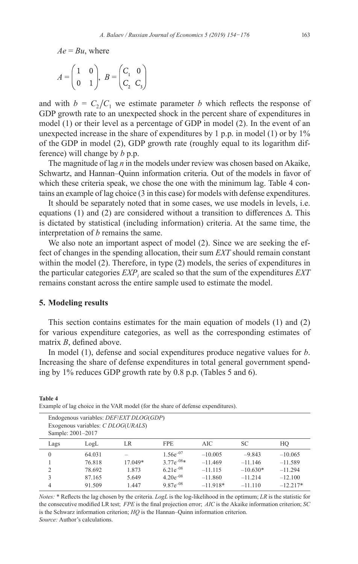$Ae = Bu$ , where

$$
A = \begin{pmatrix} 1 & 0 \\ 0 & 1 \end{pmatrix}, B = \begin{pmatrix} C_1 & 0 \\ C_2 & C_3 \end{pmatrix}
$$

and with  $b = C_2/C_1$  we estimate parameter *b* which reflects the response of GDP growth rate to an unexpected shock in the percent share of expenditures in model (1) or their level as a percentage of GDP in model (2). In the event of an unexpected increase in the share of expenditures by 1 p.p. in model (1) or by 1% of the GDP in model (2), GDP growth rate (roughly equal to its logarithm difference) will change by *b* p.p.

The magnitude of lag *n* in the models under review was chosen based on Akaike, Schwartz, and Hannan–Quinn information criteria. Out of the models in favor of which these criteria speak, we chose the one with the minimum lag. Table 4 contains an example of lag choice (3 in this case) for models with defense expenditures.

It should be separately noted that in some cases, we use models in levels, i.e. equations (1) and (2) are considered without a transition to differences  $\Delta$ . This is dictated by statistical (including information) criteria. At the same time, the interpretation of *b* remains the same.

We also note an important aspect of model (2). Since we are seeking the effect of changes in the spending allocation, their sum *EXT* should remain constant within the model (2). Therefore, in type (2) models, the series of expenditures in the particular categories  $\mathit{EXP}_i$  are scaled so that the sum of the expenditures  $\mathit{EXT}$ remains constant across the entire sample used to estimate the model.

## **5. Modeling results**

**Table 4**

This section contains estimates for the main equation of models (1) and (2) for various expenditure categories, as well as the corresponding estimates of matrix *B*, defined above.

In model (1), defense and social expenditures produce negative values for *b*. Increasing the share of defense expenditures in total general government spending by 1% reduces GDP growth rate by 0.8 p.p. (Tables 5 and 6).

|          | Exogenous variables: C DLOG(URALS)<br>Sample: 2001-2017 | Endogenous variables: <i>DEF/EXT DLOG(GDP)</i> |                |            |            |            |
|----------|---------------------------------------------------------|------------------------------------------------|----------------|------------|------------|------------|
| Lags     | LogL                                                    | LR                                             | <b>FPE</b>     | AIC.       | <b>SC</b>  | HO         |
| $\theta$ | 64.031                                                  |                                                | $1.56e^{-07}$  | $-10.005$  | $-9.843$   | $-10.065$  |
|          | 76.818                                                  | 17.049*                                        | $3.77e^{-08*}$ | $-11.469$  | $-11.146$  | $-11.589$  |
| C        | 78.692                                                  | 1.873                                          | $6.21e^{-08}$  | $-11.115$  | $-10.630*$ | $-11.294$  |
| 3        | 87.165                                                  | 5.649                                          | $4.20e^{-08}$  | $-11.860$  | $-11.214$  | $-12.100$  |
| 4        | 91.509                                                  | 1.447                                          | $9.87e^{-08}$  | $-11.918*$ | $-11.110$  | $-12.217*$ |

Example of lag choice in the VAR model (for the share of defense expenditures).

*Notes:* \* Reflects the lag chosen by the criteria. *LogL* is the log-likelihood in the optimum; *LR* is the statistic for the consecutive modified LR test; *FPE* is the final projection error; *AIC* is the Akaike information criterion; *SC* is the Schwarz information criterion; *HQ* is the Hannan–Quinn information criterion. *Source:* Author's calculations.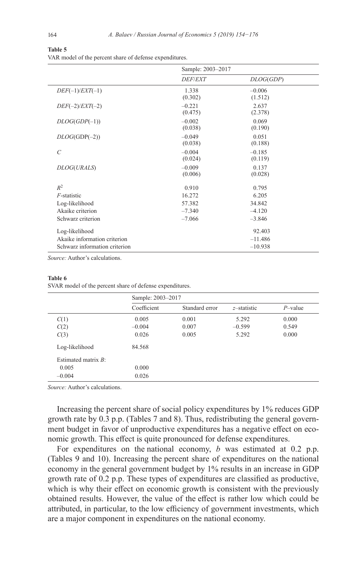| <b>DEF/EXT</b>      | DLOG(GDP)           |                   |
|---------------------|---------------------|-------------------|
| 1.338<br>(0.302)    | $-0.006$<br>(1.512) |                   |
| $-0.221$<br>(0.475) | 2.637<br>(2.378)    |                   |
| $-0.002$<br>(0.038) | 0.069<br>(0.190)    |                   |
| $-0.049$<br>(0.038) | 0.051<br>(0.188)    |                   |
| $-0.004$<br>(0.024) | $-0.185$<br>(0.119) |                   |
| $-0.009$<br>(0.006) | 0.137<br>(0.028)    |                   |
| 0.910               | 0.795               |                   |
| 16.272              | 6.205               |                   |
| 57.382              | 34.842              |                   |
| $-7.340$            | $-4.120$            |                   |
| $-7.066$            | $-3.846$            |                   |
|                     | 92.403              |                   |
|                     | $-11.486$           |                   |
|                     | $-10.938$           |                   |
|                     |                     | Sample: 2003-2017 |

**Table 5** VAR model of the percent share of defense expenditures.

#### **Table 6**

SVAR model of the percent share of defense expenditures.

|                        | Sample: 2003-2017 |                |                |            |  |
|------------------------|-------------------|----------------|----------------|------------|--|
|                        | Coefficient       | Standard error | $z$ -statistic | $P$ -value |  |
| C(1)                   | 0.005             | 0.001          | 5.292          | 0.000      |  |
| C(2)                   | $-0.004$          | 0.007          | $-0.599$       | 0.549      |  |
| C(3)                   | 0.026             | 0.005          | 5.292          | 0.000      |  |
| Log-likelihood         | 84.568            |                |                |            |  |
| Estimated matrix $R$ : |                   |                |                |            |  |
| 0.005                  | 0.000             |                |                |            |  |
| $-0.004$               | 0.026             |                |                |            |  |

*Source:* Author's calculations.

Increasing the percent share of social policy expenditures by 1% reduces GDP growth rate by 0.3 p.p. (Tables 7 and 8). Thus, redistributing the general government budget in favor of unproductive expenditures has a negative effect on economic growth. This effect is quite pronounced for defense expenditures.

For expenditures on the national economy, *b* was estimated at 0.2 p.p. (Tables 9 and 10). Increasing the percent share of expenditures on the national economy in the general government budget by 1% results in an increase in GDP growth rate of 0.2 p.p. These types of expenditures are classified as productive, which is why their effect on economic growth is consistent with the previously obtained results. However, the value of the effect is rather low which could be attributed, in particular, to the low efficiency of government investments, which are a major component in expenditures on the national economy.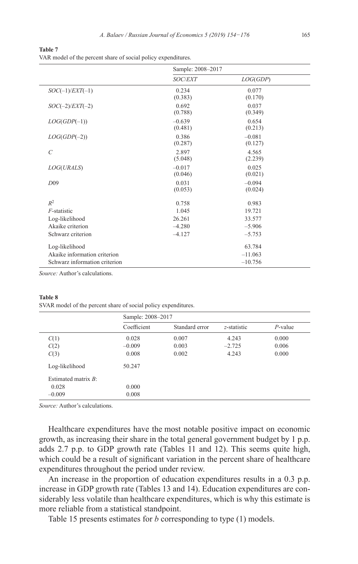**Table 7** VAR model of the percent share of social policy expenditures.

|                               | Sample: 2008-2017   |                     |  |
|-------------------------------|---------------------|---------------------|--|
|                               | <b>SOC/EXT</b>      | LOG(GDP)            |  |
| $SOC(-1)/EXT(-1)$             | 0.234<br>(0.383)    | 0.077<br>(0.170)    |  |
| $SOC(-2)/EXT(-2)$             | 0.692<br>(0.788)    | 0.037<br>(0.349)    |  |
| $LOG(GDP(-1))$                | $-0.639$<br>(0.481) | 0.654<br>(0.213)    |  |
| $LOG(GDP(-2))$                | 0.386<br>(0.287)    | $-0.081$<br>(0.127) |  |
| $\mathcal{C}$                 | 2.897<br>(5.048)    | 4.565<br>(2.239)    |  |
| LOG(URALS)                    | $-0.017$<br>(0.046) | 0.025<br>(0.021)    |  |
| D09                           | 0.031<br>(0.053)    | $-0.094$<br>(0.024) |  |
| $R^2$                         | 0.758               | 0.983               |  |
| $F$ -statistic                | 1.045               | 19.721              |  |
| Log-likelihood                | 26.261              | 33.577              |  |
| Akaike criterion              | $-4.280$            | $-5.906$            |  |
| Schwarz criterion             | $-4.127$            | $-5.753$            |  |
| Log-likelihood                |                     | 63.784              |  |
| Akaike information criterion  |                     | $-11.063$           |  |
| Schwarz information criterion |                     | $-10.756$           |  |

#### **Table 8**

SVAR model of the percent share of social policy expenditures.

|                        | Sample: 2008-2017 |                |                |            |
|------------------------|-------------------|----------------|----------------|------------|
|                        | Coefficient       | Standard error | $z$ -statistic | $P$ -value |
| C(1)                   | 0.028             | 0.007          | 4.243          | 0.000      |
| C(2)                   | $-0.009$          | 0.003          | $-2.725$       | 0.006      |
| C(3)                   | 0.008             | 0.002          | 4.243          | 0.000      |
| Log-likelihood         | 50.247            |                |                |            |
| Estimated matrix $B$ : |                   |                |                |            |
| 0.028                  | 0.000             |                |                |            |
| $-0.009$               | 0.008             |                |                |            |
|                        |                   |                |                |            |

*Source:* Author's calculations.

Healthcare expenditures have the most notable positive impact on economic growth, as increasing their share in the total general government budget by 1 p.p. adds 2.7 p.p. to GDP growth rate (Tables 11 and 12). This seems quite high, which could be a result of significant variation in the percent share of healthcare expenditures throughout the period under review.

An increase in the proportion of education expenditures results in a 0.3 p.p. increase in GDP growth rate (Tables 13 and 14). Education expenditures are considerably less volatile than healthcare expenditures, which is why this estimate is more reliable from a statistical standpoint.

Table 15 presents estimates for *b* corresponding to type (1) models.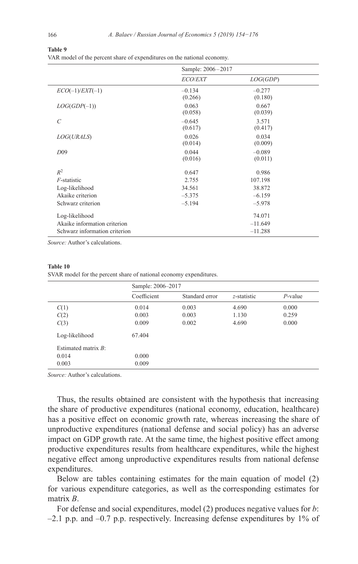#### **Table 9**

VAR model of the percent share of expenditures on the national economy.

|                               | Sample: 2006-2017   |                     |  |  |
|-------------------------------|---------------------|---------------------|--|--|
|                               | <b>ECO/EXT</b>      | LOG(GDP)            |  |  |
| $ECO(-1)/EXT(-1)$             | $-0.134$<br>(0.266) | $-0.277$<br>(0.180) |  |  |
| $LOG(GDP(-1))$                | 0.063<br>(0.058)    | 0.667<br>(0.039)    |  |  |
| $\mathcal{C}_{0}^{0}$         | $-0.645$<br>(0.617) | 3.571<br>(0.417)    |  |  |
| LOG(URALS)                    | 0.026<br>(0.014)    | 0.034<br>(0.009)    |  |  |
| $D_{09}$                      | 0.044<br>(0.016)    | $-0.089$<br>(0.011) |  |  |
| $R^2$                         | 0.647               | 0.986               |  |  |
| $F$ -statistic                | 2.755               | 107.198             |  |  |
| Log-likelihood                | 34.561              | 38.872              |  |  |
| Akaike criterion              | $-5.375$            | $-6.159$            |  |  |
| Schwarz criterion             | $-5.194$            | $-5.978$            |  |  |
| Log-likelihood                |                     | 74.071              |  |  |
| Akaike information criterion  |                     | $-11.649$           |  |  |
| Schwarz information criterion |                     | $-11.288$           |  |  |

*Source:* Author's calculations.

#### **Table 10**

SVAR model for the percent share of national economy expenditures.

|                        | Sample: 2006-2017 |                |             |            |
|------------------------|-------------------|----------------|-------------|------------|
|                        | Coefficient       | Standard error | z-statistic | $P$ -value |
| C(1)                   | 0.014             | 0.003          | 4.690       | 0.000      |
| C(2)                   | 0.003             | 0.003          | 1.130       | 0.259      |
| C(3)                   | 0.009             | 0.002          | 4.690       | 0.000      |
| Log-likelihood         | 67.404            |                |             |            |
| Estimated matrix $B$ : |                   |                |             |            |
| 0.014                  | 0.000             |                |             |            |
| 0.003                  | 0.009             |                |             |            |

*Source:* Author's calculations.

Thus, the results obtained are consistent with the hypothesis that increasing the share of productive expenditures (national economy, education, healthcare) has a positive effect on economic growth rate, whereas increasing the share of unproductive expenditures (national defense and social policy) has an adverse impact on GDP growth rate. At the same time, the highest positive effect among productive expenditures results from healthcare expenditures, while the highest negative effect among unproductive expenditures results from national defense expenditures.

Below are tables containing estimates for the main equation of model (2) for various expenditure categories, as well as the corresponding estimates for matrix *B*.

For defense and social expenditures, model (2) produces negative values for *b*:  $-2.1$  p.p. and  $-0.7$  p.p. respectively. Increasing defense expenditures by 1% of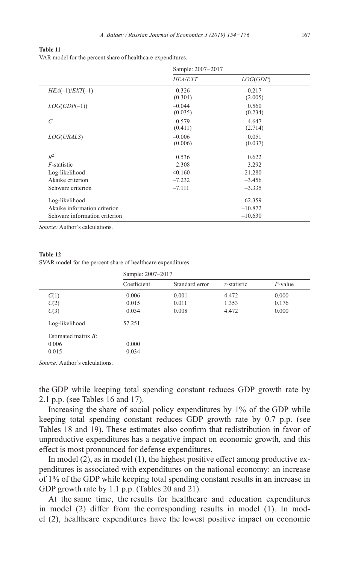**Table 11**

VAR model for the percent share of healthcare expenditures.

|                               | Sample: 2007-2017   |                     |  |
|-------------------------------|---------------------|---------------------|--|
|                               | <b>HEA/EXT</b>      | LOG(GDP)            |  |
| $HEA(-1)/EXT(-1)$             | 0.326<br>(0.304)    | $-0.217$<br>(2.005) |  |
| $LOG(GDP(-1))$                | $-0.044$<br>(0.035) | 0.560<br>(0.234)    |  |
| $\mathcal{C}$                 | 0.579<br>(0.411)    | 4.647<br>(2.714)    |  |
| <i>LOG(URALS)</i>             | $-0.006$<br>(0.006) | 0.051<br>(0.037)    |  |
| $R^2$                         | 0.536               | 0.622               |  |
| $F$ -statistic                | 2.308               | 3.292               |  |
| Log-likelihood                | 40.160              | 21.280              |  |
| Akaike criterion              | $-7.232$            | $-3.456$            |  |
| Schwarz criterion             | $-7.111$            | $-3.335$            |  |
| Log-likelihood                |                     | 62.359              |  |
| Akaike information criterion  |                     | $-10.872$           |  |
| Schwarz information criterion |                     | $-10.630$           |  |

#### **Table 12**

SVAR model for the percent share of healthcare expenditures.

|                        | Sample: 2007-2017 |                |                |            |
|------------------------|-------------------|----------------|----------------|------------|
|                        | Coefficient       | Standard error | $z$ -statistic | $P$ -value |
| C(1)                   | 0.006             | 0.001          | 4.472          | 0.000      |
| C(2)                   | 0.015             | 0.011          | 1.353          | 0.176      |
| C(3)                   | 0.034             | 0.008          | 4.472          | 0.000      |
| Log-likelihood         | 57.251            |                |                |            |
| Estimated matrix $B$ : |                   |                |                |            |
| 0.006                  | 0.000             |                |                |            |
| 0.015                  | 0.034             |                |                |            |

*Source:* Author's calculations.

the GDP while keeping total spending constant reduces GDP growth rate by 2.1 p.p. (see Tables 16 and 17).

Increasing the share of social policy expenditures by 1% of the GDP while keeping total spending constant reduces GDP growth rate by 0.7 p.p. (see Tables 18 and 19). These estimates also confirm that redistribution in favor of unproductive expenditures has a negative impact on economic growth, and this effect is most pronounced for defense expenditures.

In model (2), as in model (1), the highest positive effect among productive expenditures is associated with expenditures on the national economy: an increase of 1% of the GDP while keeping total spending constant results in an increase in GDP growth rate by 1.1 p.p. (Tables 20 and 21).

At the same time, the results for healthcare and education expenditures in model (2) differ from the corresponding results in model (1). In model (2), healthcare expenditures have the lowest positive impact on economic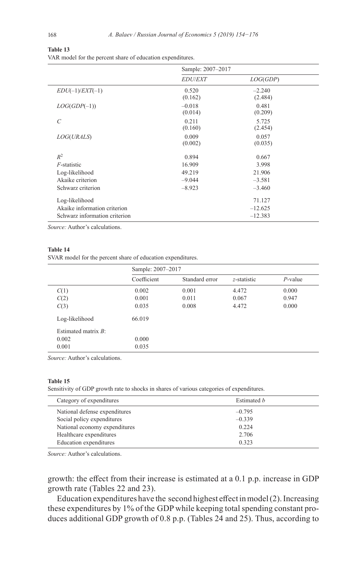#### **Table 13** VAR model for the percent share of education expenditures.

|                               | Sample: 2007-2017   |                     |  |
|-------------------------------|---------------------|---------------------|--|
|                               | <b>EDU/EXT</b>      | LOG(GDP)            |  |
| $EDU(-1)/EXT(-1)$             | 0.520<br>(0.162)    | $-2.240$<br>(2.484) |  |
| $LOG(GDP(-1))$                | $-0.018$<br>(0.014) | 0.481<br>(0.209)    |  |
| $\mathcal{C}_{0}^{0}$         | 0.211<br>(0.160)    | 5.725<br>(2.454)    |  |
| LOG(URALS)                    | 0.009<br>(0.002)    | 0.057<br>(0.035)    |  |
| $R^2$                         | 0.894               | 0.667               |  |
| $F$ -statistic                | 16.909              | 3.998               |  |
| Log-likelihood                | 49.219              | 21.906              |  |
| Akaike criterion              | $-9.044$            | $-3.581$            |  |
| Schwarz criterion             | $-8.923$            | $-3.460$            |  |
| Log-likelihood                |                     | 71.127              |  |
| Akaike information criterion  |                     | $-12.625$           |  |
| Schwarz information criterion |                     | $-12.383$           |  |

*Source:* Author's calculations.

#### **Table 14**

SVAR model for the percent share of education expenditures.

|                        | Sample: 2007-2017 |                |             |            |
|------------------------|-------------------|----------------|-------------|------------|
|                        | Coefficient       | Standard error | z-statistic | $P$ -value |
| C(1)                   | 0.002             | 0.001          | 4.472       | 0.000      |
| C(2)                   | 0.001             | 0.011          | 0.067       | 0.947      |
| C(3)                   | 0.035             | 0.008          | 4.472       | 0.000      |
| Log-likelihood         | 66.019            |                |             |            |
| Estimated matrix $B$ : |                   |                |             |            |
| 0.002                  | 0.000             |                |             |            |
| 0.001                  | 0.035             |                |             |            |

*Source:* Author's calculations.

#### **Table 15**

Sensitivity of GDP growth rate to shocks in shares of various categories of expenditures.

| Category of expenditures      | Estimated <i>h</i> |
|-------------------------------|--------------------|
| National defense expenditures | $-0.795$           |
| Social policy expenditures    | $-0.339$           |
| National economy expenditures | 0.224              |
| Healthcare expenditures       | 2.706              |
| Education expenditures        | 0.323              |

*Source:* Author's calculations.

growth: the effect from their increase is estimated at a 0.1 p.p. increase in GDP growth rate (Tables 22 and 23).

Education expenditures have the second highest effect in model(2). Increasing these expenditures by 1% of the GDP while keeping total spending constant produces additional GDP growth of 0.8 p.p. (Tables 24 and 25). Thus, according to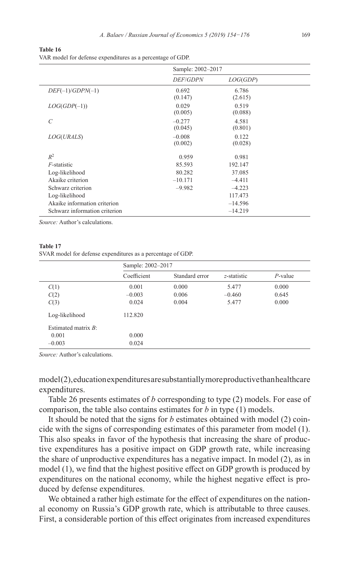| Table 16 |  |
|----------|--|
|----------|--|

VAR model for defense expenditures as a percentage of GDP.

|                               | Sample: 2002-2017   |                  |  |
|-------------------------------|---------------------|------------------|--|
|                               | <i>DEF/GDPN</i>     | LOG(GDP)         |  |
| $DEF(-1)/GDPN(-1)$            | 0.692<br>(0.147)    | 6.786<br>(2.615) |  |
| $LOG(GDP(-1))$                | 0.029<br>(0.005)    | 0.519<br>(0.088) |  |
| $\overline{C}$                | $-0.277$<br>(0.045) | 4.581<br>(0.801) |  |
| <i>LOG(URALS)</i>             | $-0.008$<br>(0.002) | 0.122<br>(0.028) |  |
| $R^2$                         | 0.959               | 0.981            |  |
| $F$ -statistic                | 85.593              | 192.147          |  |
| Log-likelihood                | 80.282              | 37.085           |  |
| Akaike criterion              | $-10.171$           | $-4.411$         |  |
| Schwarz criterion             | $-9.982$            | $-4.223$         |  |
| Log-likelihood                |                     | 117.473          |  |
| Akaike information criterion  |                     | $-14.596$        |  |
| Schwarz information criterion |                     | $-14.219$        |  |

#### **Table 17**

SVAR model for defense expenditures as a percentage of GDP.

|                        | Sample: 2002-2017 |                |                |            |
|------------------------|-------------------|----------------|----------------|------------|
|                        | Coefficient       | Standard error | $z$ -statistic | $P$ -value |
| C(1)                   | 0.001             | 0.000          | 5.477          | 0.000      |
| C(2)                   | $-0.003$          | 0.006          | $-0.460$       | 0.645      |
| C(3)                   | 0.024             | 0.004          | 5.477          | 0.000      |
| Log-likelihood         | 112.820           |                |                |            |
| Estimated matrix $B$ : |                   |                |                |            |
| 0.001                  | 0.000             |                |                |            |
| $-0.003$               | 0.024             |                |                |            |

*Source:* Author's calculations.

model(2), education expenditures are substantially more productive than healthcare expenditures.

Table 26 presents estimates of *b* corresponding to type (2) models. For ease of comparison, the table also contains estimates for *b* in type (1) models.

It should be noted that the signs for *b* estimates obtained with model (2) coincide with the signs of corresponding estimates of this parameter from model (1). This also speaks in favor of the hypothesis that increasing the share of productive expenditures has a positive impact on GDP growth rate, while increasing the share of unproductive expenditures has a negative impact. In model (2), as in model (1), we find that the highest positive effect on GDP growth is produced by expenditures on the national economy, while the highest negative effect is produced by defense expenditures.

We obtained a rather high estimate for the effect of expenditures on the national economy on Russia's GDP growth rate, which is attributable to three causes. First, a considerable portion of this effect originates from increased expenditures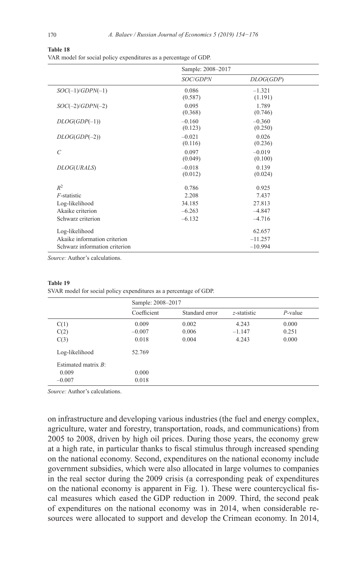#### **Table 18**

VAR model for social policy expenditures as a percentage of GDP.

|                               | Sample: 2008-2017   |                     |  |
|-------------------------------|---------------------|---------------------|--|
|                               | <b>SOC/GDPN</b>     | DLOG(GDP)           |  |
| $SOC(-1)/GDPN(-1)$            | 0.086<br>(0.587)    | $-1.321$<br>(1.191) |  |
| $SOC(-2)/GDPN(-2)$            | 0.095<br>(0.368)    | 1.789<br>(0.746)    |  |
| $DLOG(GDP(-1))$               | $-0.160$<br>(0.123) | $-0.360$<br>(0.250) |  |
| $DLOG(GDP(-2))$               | $-0.021$<br>(0.116) | 0.026<br>(0.236)    |  |
| $\mathcal{C}_{0}$             | 0.097<br>(0.049)    | $-0.019$<br>(0.100) |  |
| DLOG(URALS)                   | $-0.018$<br>(0.012) | 0.139<br>(0.024)    |  |
| $R^2$                         | 0.786               | 0.925               |  |
| $F$ -statistic                | 2.208               | 7.437               |  |
| Log-likelihood                | 34.185              | 27.813              |  |
| Akaike criterion              | $-6.263$            | $-4.847$            |  |
| Schwarz criterion             | $-6.132$            | $-4.716$            |  |
| Log-likelihood                |                     | 62.657              |  |
| Akaike information criterion  |                     | $-11.257$           |  |
| Schwarz information criterion |                     | $-10.994$           |  |

*Source:* Author's calculations.

**Table 19**

|                        | Sample: 2008-2017 |                |             |            |
|------------------------|-------------------|----------------|-------------|------------|
|                        | Coefficient       | Standard error | z-statistic | $P$ -value |
| C(1)                   | 0.009             | 0.002          | 4.243       | 0.000      |
| C(2)                   | $-0.007$          | 0.006          | $-1.147$    | 0.251      |
| C(3)                   | 0.018             | 0.004          | 4.243       | 0.000      |
| Log-likelihood         | 52.769            |                |             |            |
| Estimated matrix $B$ : |                   |                |             |            |
| 0.009                  | 0.000             |                |             |            |
| $-0.007$               | 0.018             |                |             |            |

SVAR model for social policy expenditures as a percentage of GDP.

*Source:* Author's calculations.

on infrastructure and developing various industries (the fuel and energy complex, agriculture, water and forestry, transportation, roads, and communications) from 2005 to 2008, driven by high oil prices. During those years, the economy grew at a high rate, in particular thanks to fiscal stimulus through increased spending on the national economy. Second, expenditures on the national economy include government subsidies, which were also allocated in large volumes to companies in the real sector during the 2009 crisis (a corresponding peak of expenditures on the national economy is apparent in Fig. 1). These were countercyclical fiscal measures which eased the GDP reduction in 2009. Third, the second peak of expenditures on the national economy was in 2014, when considerable resources were allocated to support and develop the Crimean economy. In 2014,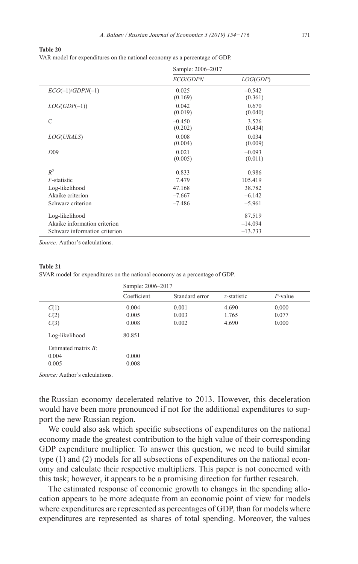**Table 20**

VAR model for expenditures on the national economy as a percentage of GDP.

|                               | Sample: 2006-2017   |                     |  |
|-------------------------------|---------------------|---------------------|--|
|                               | <b>ECO/GDPN</b>     | LOG(GDP)            |  |
| $ECO(-1)/GDPN(-1)$            | 0.025<br>(0.169)    | $-0.542$<br>(0.361) |  |
| $LOG(GDP(-1))$                | 0.042<br>(0.019)    | 0.670<br>(0.040)    |  |
| $\mathcal{C}$                 | $-0.450$<br>(0.202) | 3.526<br>(0.434)    |  |
| LOG(URALS)                    | 0.008<br>(0.004)    | 0.034<br>(0.009)    |  |
| D09                           | 0.021<br>(0.005)    | $-0.093$<br>(0.011) |  |
| $R^2$                         | 0.833               | 0.986               |  |
| $F$ -statistic                | 7.479               | 105.419             |  |
| Log-likelihood                | 47.168              | 38.782              |  |
| Akaike criterion              | $-7.667$            | $-6.142$            |  |
| Schwarz criterion             | $-7.486$            | $-5.961$            |  |
| Log-likelihood                |                     | 87.519              |  |
| Akaike information criterion  |                     | $-14.094$           |  |
| Schwarz information criterion |                     | $-13.733$           |  |

#### **Table 21**

SVAR model for expenditures on the national economy as a percentage of GDP.

|                        | Sample: 2006-2017 |                |                |            |
|------------------------|-------------------|----------------|----------------|------------|
|                        | Coefficient       | Standard error | $z$ -statistic | $P$ -value |
| C(1)                   | 0.004             | 0.001          | 4.690          | 0.000      |
| C(2)                   | 0.005             | 0.003          | 1.765          | 0.077      |
| C(3)                   | 0.008             | 0.002          | 4.690          | 0.000      |
| Log-likelihood         | 80.851            |                |                |            |
| Estimated matrix $R$ : |                   |                |                |            |
| 0.004                  | 0.000             |                |                |            |
| 0.005                  | 0.008             |                |                |            |

*Source:* Author's calculations.

the Russian economy decelerated relative to 2013. However, this deceleration would have been more pronounced if not for the additional expenditures to support the new Russian region.

We could also ask which specific subsections of expenditures on the national economy made the greatest contribution to the high value of their corresponding GDP expenditure multiplier. To answer this question, we need to build similar type (1) and (2) models for all subsections of expenditures on the national economy and calculate their respective multipliers. This paper is not concerned with this task; however, it appears to be a promising direction for further research.

The estimated response of economic growth to changes in the spending allocation appears to be more adequate from an economic point of view for models where expenditures are represented as percentages of GDP, than for models where expenditures are represented as shares of total spending. Moreover, the values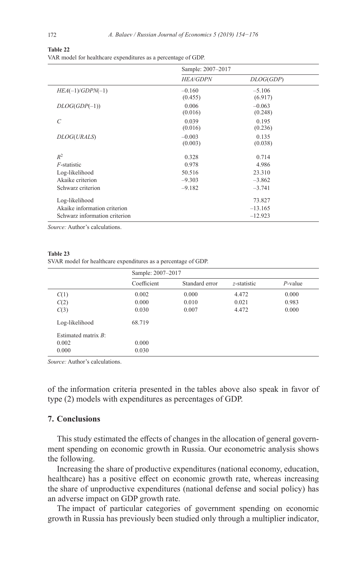**Table 22**

VAR model for healthcare expenditures as a percentage of GDP.

|                               | Sample: 2007-2017   |                     |  |
|-------------------------------|---------------------|---------------------|--|
|                               | <b>HEA/GDPN</b>     | DLOG(GDP)           |  |
| $HEA(-1)/GDPN(-1)$            | $-0.160$<br>(0.455) | $-5.106$<br>(6.917) |  |
| $DLOG(GDP(-1))$               | 0.006<br>(0.016)    | $-0.063$<br>(0.248) |  |
| $\mathcal{C}_{0}^{0}$         | 0.039<br>(0.016)    | 0.195<br>(0.236)    |  |
| DLOG(URALS)                   | $-0.003$<br>(0.003) | 0.135<br>(0.038)    |  |
| $R^2$                         | 0.328               | 0.714               |  |
| $F$ -statistic                | 0.978               | 4.986               |  |
| Log-likelihood                | 50.516              | 23.310              |  |
| Akaike criterion              | $-9.303$            | $-3.862$            |  |
| Schwarz criterion             | $-9.182$            | $-3.741$            |  |
| Log-likelihood                |                     | 73.827              |  |
| Akaike information criterion  |                     | $-13.165$           |  |
| Schwarz information criterion |                     | $-12.923$           |  |

#### **Table 23** SVAR model for healthcare expenditures as a percentage of GDP.

|                        | Sample: 2007-2017 |                |                |            |
|------------------------|-------------------|----------------|----------------|------------|
|                        | Coefficient       | Standard error | $z$ -statistic | $P$ -value |
| C(1)                   | 0.002             | 0.000          | 4.472          | 0.000      |
| C(2)                   | 0.000             | 0.010          | 0.021          | 0.983      |
| C(3)                   | 0.030             | 0.007          | 4.472          | 0.000      |
| Log-likelihood         | 68.719            |                |                |            |
| Estimated matrix $B$ : |                   |                |                |            |
| 0.002                  | 0.000             |                |                |            |
| 0.000                  | 0.030             |                |                |            |

*Source:* Author's calculations.

of the information criteria presented in the tables above also speak in favor of type (2) models with expenditures as percentages of GDP.

## **7. Conclusions**

This study estimated the effects of changes in the allocation of general government spending on economic growth in Russia. Our econometric analysis shows the following.

Increasing the share of productive expenditures (national economy, education, healthcare) has a positive effect on economic growth rate, whereas increasing the share of unproductive expenditures (national defense and social policy) has an adverse impact on GDP growth rate.

The impact of particular categories of government spending on economic growth in Russia has previously been studied only through a multiplier indicator,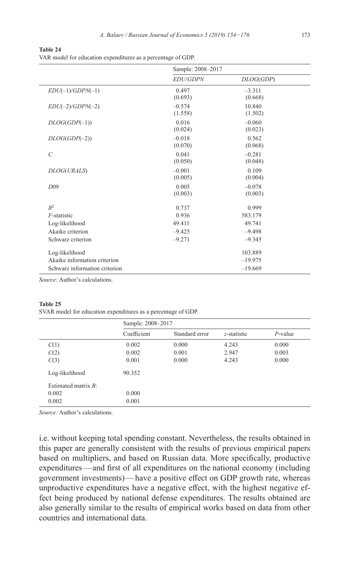**Table 24** VAR model for education expenditures as a percentage of GDP.

|                               | Sample: 2008-2017   |                     |  |
|-------------------------------|---------------------|---------------------|--|
|                               | <b>EDU/GDPN</b>     | DLOG(GDP)           |  |
| $EDU(-1)/GDPN(-1)$            | 0.497<br>(0.693)    | $-3.311$<br>(0.668) |  |
| $EDU(-2)/GDPN(-2)$            | $-0.574$<br>(1.558) | 10.840<br>(1.502)   |  |
| $DLOG(GDP(-1))$               | 0.016<br>(0.024)    | $-0.060$<br>(0.023) |  |
| $DLOG(GDP(-2))$               | $-0.018$<br>(0.070) | 0.562<br>(0.068)    |  |
| $\overline{C}$                | 0.041<br>(0.050)    | $-0.281$<br>(0.048) |  |
| DLOG(URALS)                   | $-0.001$<br>(0.005) | 0.109<br>(0.004)    |  |
| D <sub>09</sub>               | 0.005<br>(0.003)    | $-0.078$<br>(0.003) |  |
| $R^2$                         | 0.737               | 0.999               |  |
| $F$ -statistic                | 0.936               | 583.179             |  |
| Log-likelihood                | 49.411              | 49.741              |  |
| Akaike criterion              | $-9.425$            | $-9.498$            |  |
| Schwarz criterion             | $-9.271$            | $-9.345$            |  |
| Log-likelihood                |                     | 103.889             |  |
| Akaike information criterion  |                     | $-19.975$           |  |
| Schwarz information criterion |                     | $-19.669$           |  |

#### **Table 25**

SVAR model for education expenditures as a percentage of GDP.

|                        | Sample: 2008-2017 |                |                |            |
|------------------------|-------------------|----------------|----------------|------------|
|                        | Coefficient       | Standard error | $z$ -statistic | $P$ -value |
| C(1)                   | 0.002             | 0.000          | 4.243          | 0.000      |
| C(2)                   | 0.002             | 0.001          | 2.947          | 0.003      |
| C(3)                   | 0.001             | 0.000          | 4.243          | 0.000      |
| Log-likelihood         | 90.352            |                |                |            |
| Estimated matrix $B$ : |                   |                |                |            |
| 0.002                  | 0.000             |                |                |            |
| 0.002                  | 0.001             |                |                |            |

*Source:* Author's calculations.

i.e. without keeping total spending constant. Nevertheless, the results obtained in this paper are generally consistent with the results of previous empirical papers based on multipliers, and based on Russian data. More specifically, productive expenditures—and first of all expenditures on the national economy (including government investments)—have a positive effect on GDP growth rate, whereas unproductive expenditures have a negative effect, with the highest negative effect being produced by national defense expenditures. The results obtained are also generally similar to the results of empirical works based on data from other countries and international data.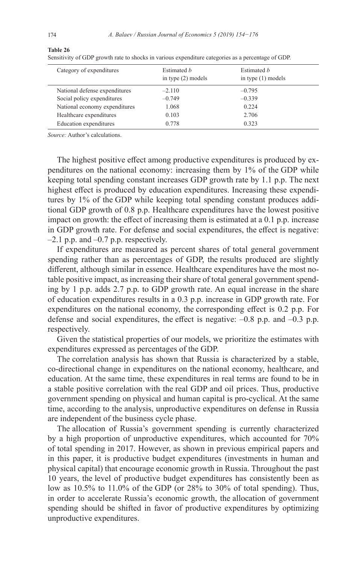| Category of expenditures      | Estimated b<br>in type $(2)$ models | Estimated b<br>in type $(1)$ models |
|-------------------------------|-------------------------------------|-------------------------------------|
| National defense expenditures | $-2.110$                            | $-0.795$                            |
| Social policy expenditures    | $-0.749$                            | $-0.339$                            |
| National economy expenditures | 1.068                               | 0.224                               |
| Healthcare expenditures       | 0.103                               | 2.706                               |
| Education expenditures        | 0.778                               | 0.323                               |
|                               |                                     |                                     |

**Table 26**

Sensitivity of GDP growth rate to shocks in various expenditure categories as a percentage of GDP.

*Source:* Author's calculations.

The highest positive effect among productive expenditures is produced by expenditures on the national economy: increasing them by 1% of the GDP while keeping total spending constant increases GDP growth rate by 1.1 p.p. The next highest effect is produced by education expenditures. Increasing these expenditures by 1% of the GDP while keeping total spending constant produces additional GDP growth of 0.8 p.p. Healthcare expenditures have the lowest positive impact on growth: the effect of increasing them is estimated at a 0.1 p.p. increase in GDP growth rate. For defense and social expenditures, the effect is negative:  $-2.1$  p.p. and  $-0.7$  p.p. respectively.

If expenditures are measured as percent shares of total general government spending rather than as percentages of GDP, the results produced are slightly different, although similar in essence. Healthcare expenditures have the most notable positive impact, as increasing their share of total general government spending by 1 p.p. adds 2.7 p.p. to GDP growth rate. An equal increase in the share of education expenditures results in a 0.3 p.p. increase in GDP growth rate. For expenditures on the national economy, the corresponding effect is 0.2 p.p. For defense and social expenditures, the effect is negative: –0.8 p.p. and –0.3 p.p. respectively.

Given the statistical properties of our models, we prioritize the estimates with expenditures expressed as percentages of the GDP.

The correlation analysis has shown that Russia is characterized by a stable, co-directional change in expenditures on the national economy, healthcare, and education. At the same time, these expenditures in real terms are found to be in a stable positive correlation with the real GDP and oil prices. Thus, productive government spending on physical and human capital is pro-cyclical. At the same time, according to the analysis, unproductive expenditures on defense in Russia are independent of the business cycle phase.

The allocation of Russia's government spending is currently characterized by a high proportion of unproductive expenditures, which accounted for 70% of total spending in 2017. However, as shown in previous empirical papers and in this paper, it is productive budget expenditures (investments in human and physical capital) that encourage economic growth in Russia. Throughout the past 10 years, the level of productive budget expenditures has consistently been as low as 10.5% to 11.0% of the GDP (or 28% to 30% of total spending). Thus, in order to accelerate Russia's economic growth, the allocation of government spending should be shifted in favor of productive expenditures by optimizing unproductive expenditures.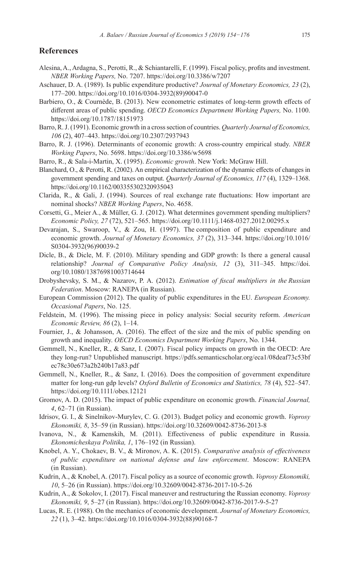### **References**

- Alesina, A., Ardagna, S., Perotti, R., & Schiantarelli, F. (1999). Fiscal policy, profits and investment. *NBER Working Papers,* No. 7207. <https://doi.org/10.3386/w7207>
- Aschauer, D. A. (1989). Is public expenditure productive? *Journal of Monetary Economics, 23* (2), 177–200. [https://doi.org/10.1016/0304-3932\(89\)90047-0](https://doi.org/10.1016/0304-3932(89)90047-0)
- Barbiero, O., & Cournède, B. (2013). New econometric estimates of long-term growth effects of different areas of public spending. *OECD Economics Department Working Papers,* No. 1100. <https://doi.org/10.1787/18151973>
- Barro, R. J. (1991). Economic growth in a cross section of countries. *Quarterly Journal of Economics, 106* (2), 407–443. <https://doi.org/10.2307/2937943>
- Barro, R. J. (1996). Determinants of economic growth: A cross-country empirical study. *NBER Working Papers*, No. 5698.<https://doi.org/10.3386/w5698>
- Barro, R., & Sala-i-Martin, X. (1995). *Economic growth*. New York: McGraw Hill.
- Blanchard, O., & Perotti, R. (2002). An empirical characterization of the dynamic effects of changes in government spending and taxes on output. *Quarterly Journal of Economics, 117* (4), 1329–1368. <https://doi.org/10.1162/003355302320935043>
- Clarida, R., & Gali, J. (1994). Sources of real exchange rate fluctuations: How important are nominal shocks? *NBER Working Papers*, No. 4658.
- Corsetti, G., Meier A., & Müller, G. J. (2012). What determines government spending multipliers? *Economic Policy, 27* (72), 521–565. <https://doi.org/10.1111/j.1468-0327.2012.00295.x>
- Devarajan, S., Swaroop, V., & Zou, H. (1997). The composition of public expenditure and economic growth. *Journal of Monetary Economics, 37* (2), 313–344. [https://doi.org/10.1016/](https://doi.org/10.1016/S0304-3932(96)90039-2) [S0304-3932\(96\)90039-2](https://doi.org/10.1016/S0304-3932(96)90039-2)
- Dicle, B., & Dicle, M. F. (2010). Military spending and GDP growth: Is there a general causal relationship? *Journal of Comparative Policy Analysis, 12* (3), 311–345. [https://doi.](https://doi.org/10.1080/13876981003714644) [org/10.1080/13876981003714644](https://doi.org/10.1080/13876981003714644)
- Drobyshevsky, S. M., & Nazarov, P. A. (2012). *Estimation of fiscal multipliers in the Russian Federation*. Moscow: RANEPA (in Russian).
- European Commission (2012). The quality of public expenditures in the EU. *European Economy. Occasional Papers*, No. 125.
- Feldstein, M. (1996). The missing piece in policy analysis: Social security reform. *American Economic Review, 86* (2), 1–14.
- Fournier, J., & Johansson, A. (2016). The effect of the size and the mix of public spending on growth and inequality. *OECD Economics Department Working Papers*, No. 1344.
- Gemmell, N., Kneller, R., & Sanz, I. (2007). Fiscal policy impacts on growth in the OECD: Are they long-run? Unpublished manuscript. [https://pdfs.semanticscholar.org/eca1/08deaf73c53bf](https://pdfs.semanticscholar.org/eca1/08deaf73c53bfec78c30e673a2b240b17a83.pdf) [ec78c30e673a2b240b17a83.pdf](https://pdfs.semanticscholar.org/eca1/08deaf73c53bfec78c30e673a2b240b17a83.pdf)
- Gemmell, N., Kneller, R., & Sanz, I. (2016). Does the composition of government expenditure matter for long-run gdp levels? *Oxford Bulletin of Economics and Statistics, 78* (4), 522–547. <https://doi.org/10.1111/obes.12121>
- Gromov, A. D. (2015). The impact of public expenditure on economic growth. *Financial Journal, 4*, 62–71 (in Russian).
- Idrisov, G. I., & Sinelnikov-Murylev, C. G. (2013). Budget policy and economic growth. *Voprosy Ekonomiki, 8*, 35–59 (in Russian). <https://doi.org/10.32609/0042-8736-2013-8>
- Ivanova, N., & Kamenskih, M. (2011). Effectiveness of public expenditure in Russia. *Ekonomicheskaya Politika, 1*, 176–192 (in Russian).
- Knobel, A. Y., Chokaev, B. V., & Mironov, A. K. (2015). *Comparative analysis of effectiveness of public expenditure on national defense and law enforcement*. Moscow: RANEPA (in Russian).
- Kudrin, A., & Knobel, A. (2017). Fiscal policy as a source of economic growth. *Voprosy Ekonomiki, 10*, 5–26 (in Russian). <https://doi.org/10.32609/0042-8736-2017-10-5-26>
- Kudrin, A., & Sokolov, I. (2017). Fiscal maneuver and restructuring the Russian economy. *Voprosy Ekonomiki, 9*, 5–27 (in Russian).<https://doi.org/10.32609/0042-8736-2017-9-5-27>
- Lucas, R. E. (1988). On the mechanics of economic development. *Journal of Monetary Economics, 22* (1), 3–42. [https://doi.org/10.1016/0304-3932\(88\)90168-7](https://doi.org/10.1016/0304-3932(88)90168-7)